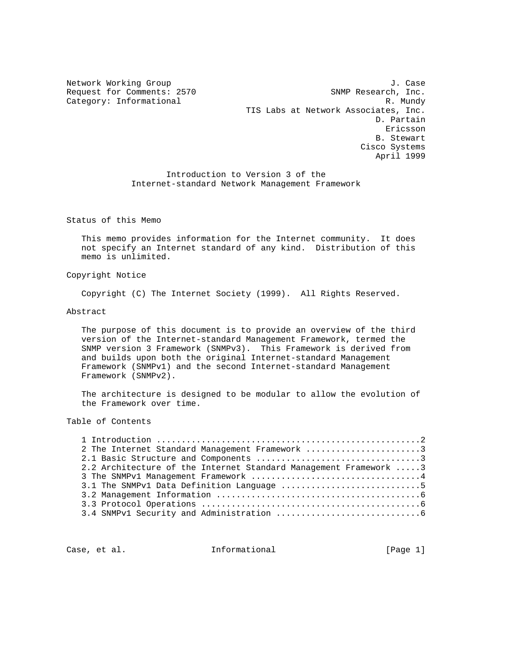Network Working Group J. Case Request for Comments: 2570 SNMP Research, Inc. Category: Informational R. Mundy TIS Labs at Network Associates, Inc. D. Partain Ericsson B. Stewart Cisco Systems April 1999

> Introduction to Version 3 of the Internet-standard Network Management Framework

Status of this Memo

 This memo provides information for the Internet community. It does not specify an Internet standard of any kind. Distribution of this memo is unlimited.

## Copyright Notice

Copyright (C) The Internet Society (1999). All Rights Reserved.

### Abstract

 The purpose of this document is to provide an overview of the third version of the Internet-standard Management Framework, termed the SNMP version 3 Framework (SNMPv3). This Framework is derived from and builds upon both the original Internet-standard Management Framework (SNMPv1) and the second Internet-standard Management Framework (SNMPv2).

 The architecture is designed to be modular to allow the evolution of the Framework over time.

### Table of Contents

| 2 The Internet Standard Management Framework 3                   |  |
|------------------------------------------------------------------|--|
|                                                                  |  |
| 2.2 Architecture of the Internet Standard Management Framework 3 |  |
|                                                                  |  |
| 3.1 The SNMPv1 Data Definition Language 5                        |  |
|                                                                  |  |
|                                                                  |  |
|                                                                  |  |
|                                                                  |  |

Case, et al. 10 mm informational 100 mm informational [Page 1]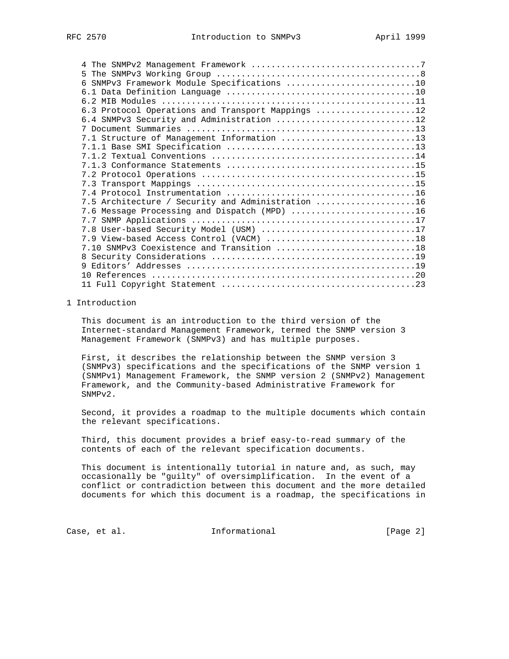| 6 SNMPv3 Framework Module Specifications 10       |  |
|---------------------------------------------------|--|
|                                                   |  |
|                                                   |  |
| 6.3 Protocol Operations and Transport Mappings 12 |  |
| 6.4 SNMPv3 Security and Administration 12         |  |
|                                                   |  |
| 7.1 Structure of Management Information 13        |  |
|                                                   |  |
|                                                   |  |
|                                                   |  |
|                                                   |  |
|                                                   |  |
|                                                   |  |
| 7.5 Architecture / Security and Administration 16 |  |
| 7.6 Message Processing and Dispatch (MPD) 16      |  |
|                                                   |  |
| 7.8 User-based Security Model (USM) 17            |  |
|                                                   |  |
| 7.10 SNMPv3 Coexistence and Transition 18         |  |
|                                                   |  |
|                                                   |  |
|                                                   |  |
|                                                   |  |

## 1 Introduction

 This document is an introduction to the third version of the Internet-standard Management Framework, termed the SNMP version 3 Management Framework (SNMPv3) and has multiple purposes.

 First, it describes the relationship between the SNMP version 3 (SNMPv3) specifications and the specifications of the SNMP version 1 (SNMPv1) Management Framework, the SNMP version 2 (SNMPv2) Management Framework, and the Community-based Administrative Framework for SNMPv2.

 Second, it provides a roadmap to the multiple documents which contain the relevant specifications.

 Third, this document provides a brief easy-to-read summary of the contents of each of the relevant specification documents.

 This document is intentionally tutorial in nature and, as such, may occasionally be "guilty" of oversimplification. In the event of a conflict or contradiction between this document and the more detailed documents for which this document is a roadmap, the specifications in

Case, et al. 1nformational 1999 [Page 2]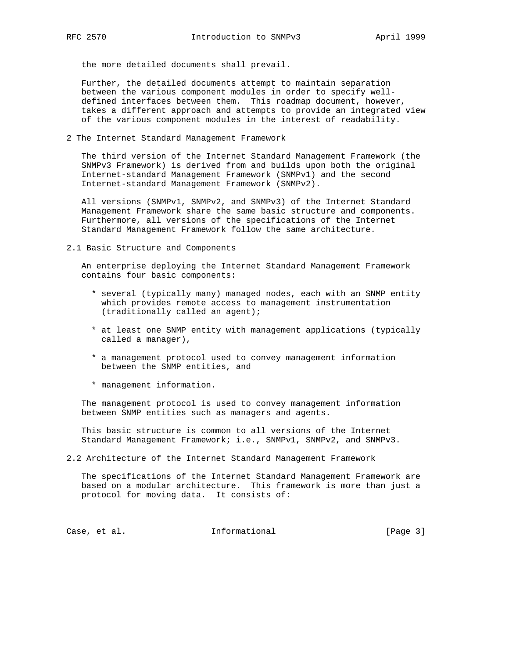the more detailed documents shall prevail.

 Further, the detailed documents attempt to maintain separation between the various component modules in order to specify well defined interfaces between them. This roadmap document, however, takes a different approach and attempts to provide an integrated view of the various component modules in the interest of readability.

2 The Internet Standard Management Framework

 The third version of the Internet Standard Management Framework (the SNMPv3 Framework) is derived from and builds upon both the original Internet-standard Management Framework (SNMPv1) and the second Internet-standard Management Framework (SNMPv2).

 All versions (SNMPv1, SNMPv2, and SNMPv3) of the Internet Standard Management Framework share the same basic structure and components. Furthermore, all versions of the specifications of the Internet Standard Management Framework follow the same architecture.

2.1 Basic Structure and Components

 An enterprise deploying the Internet Standard Management Framework contains four basic components:

- \* several (typically many) managed nodes, each with an SNMP entity which provides remote access to management instrumentation (traditionally called an agent);
- \* at least one SNMP entity with management applications (typically called a manager),
- \* a management protocol used to convey management information between the SNMP entities, and
- \* management information.

 The management protocol is used to convey management information between SNMP entities such as managers and agents.

 This basic structure is common to all versions of the Internet Standard Management Framework; i.e., SNMPv1, SNMPv2, and SNMPv3.

2.2 Architecture of the Internet Standard Management Framework

 The specifications of the Internet Standard Management Framework are based on a modular architecture. This framework is more than just a protocol for moving data. It consists of:

Case, et al. 1nformational 1999 [Page 3]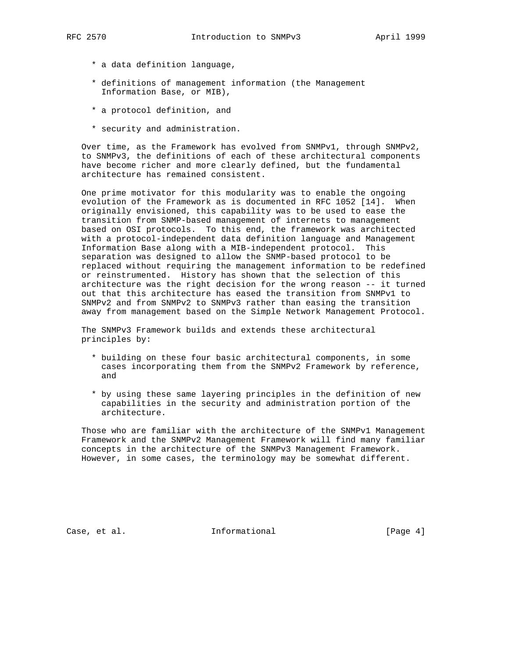- \* a data definition language,
- \* definitions of management information (the Management Information Base, or MIB),
- \* a protocol definition, and
- \* security and administration.

 Over time, as the Framework has evolved from SNMPv1, through SNMPv2, to SNMPv3, the definitions of each of these architectural components have become richer and more clearly defined, but the fundamental architecture has remained consistent.

 One prime motivator for this modularity was to enable the ongoing evolution of the Framework as is documented in RFC 1052 [14]. When originally envisioned, this capability was to be used to ease the transition from SNMP-based management of internets to management based on OSI protocols. To this end, the framework was architected with a protocol-independent data definition language and Management Information Base along with a MIB-independent protocol. This separation was designed to allow the SNMP-based protocol to be replaced without requiring the management information to be redefined or reinstrumented. History has shown that the selection of this architecture was the right decision for the wrong reason -- it turned out that this architecture has eased the transition from SNMPv1 to SNMPv2 and from SNMPv2 to SNMPv3 rather than easing the transition away from management based on the Simple Network Management Protocol.

 The SNMPv3 Framework builds and extends these architectural principles by:

- \* building on these four basic architectural components, in some cases incorporating them from the SNMPv2 Framework by reference, and
- \* by using these same layering principles in the definition of new capabilities in the security and administration portion of the architecture.

 Those who are familiar with the architecture of the SNMPv1 Management Framework and the SNMPv2 Management Framework will find many familiar concepts in the architecture of the SNMPv3 Management Framework. However, in some cases, the terminology may be somewhat different.

Case, et al. 1nformational 1999 [Page 4]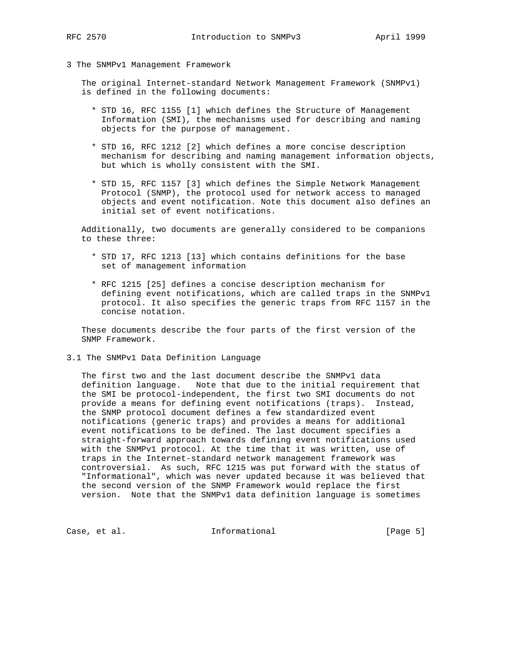#### 3 The SNMPv1 Management Framework

 The original Internet-standard Network Management Framework (SNMPv1) is defined in the following documents:

- \* STD 16, RFC 1155 [1] which defines the Structure of Management Information (SMI), the mechanisms used for describing and naming objects for the purpose of management.
- \* STD 16, RFC 1212 [2] which defines a more concise description mechanism for describing and naming management information objects, but which is wholly consistent with the SMI.
- \* STD 15, RFC 1157 [3] which defines the Simple Network Management Protocol (SNMP), the protocol used for network access to managed objects and event notification. Note this document also defines an initial set of event notifications.

 Additionally, two documents are generally considered to be companions to these three:

- \* STD 17, RFC 1213 [13] which contains definitions for the base set of management information
- \* RFC 1215 [25] defines a concise description mechanism for defining event notifications, which are called traps in the SNMPv1 protocol. It also specifies the generic traps from RFC 1157 in the concise notation.

 These documents describe the four parts of the first version of the SNMP Framework.

3.1 The SNMPv1 Data Definition Language

 The first two and the last document describe the SNMPv1 data definition language. Note that due to the initial requirement that the SMI be protocol-independent, the first two SMI documents do not provide a means for defining event notifications (traps). Instead, the SNMP protocol document defines a few standardized event notifications (generic traps) and provides a means for additional event notifications to be defined. The last document specifies a straight-forward approach towards defining event notifications used with the SNMPv1 protocol. At the time that it was written, use of traps in the Internet-standard network management framework was controversial. As such, RFC 1215 was put forward with the status of "Informational", which was never updated because it was believed that the second version of the SNMP Framework would replace the first version. Note that the SNMPv1 data definition language is sometimes

Case, et al. 10 1nformational 100 [Page 5]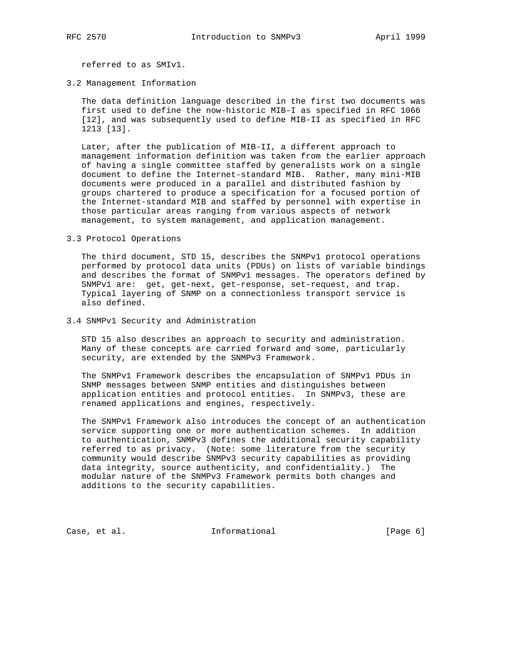referred to as SMIv1.

3.2 Management Information

 The data definition language described in the first two documents was first used to define the now-historic MIB-I as specified in RFC 1066 [12], and was subsequently used to define MIB-II as specified in RFC 1213 [13].

 Later, after the publication of MIB-II, a different approach to management information definition was taken from the earlier approach of having a single committee staffed by generalists work on a single document to define the Internet-standard MIB. Rather, many mini-MIB documents were produced in a parallel and distributed fashion by groups chartered to produce a specification for a focused portion of the Internet-standard MIB and staffed by personnel with expertise in those particular areas ranging from various aspects of network management, to system management, and application management.

3.3 Protocol Operations

 The third document, STD 15, describes the SNMPv1 protocol operations performed by protocol data units (PDUs) on lists of variable bindings and describes the format of SNMPv1 messages. The operators defined by SNMPv1 are: get, get-next, get-response, set-request, and trap. Typical layering of SNMP on a connectionless transport service is also defined.

3.4 SNMPv1 Security and Administration

 STD 15 also describes an approach to security and administration. Many of these concepts are carried forward and some, particularly security, are extended by the SNMPv3 Framework.

 The SNMPv1 Framework describes the encapsulation of SNMPv1 PDUs in SNMP messages between SNMP entities and distinguishes between application entities and protocol entities. In SNMPv3, these are renamed applications and engines, respectively.

 The SNMPv1 Framework also introduces the concept of an authentication service supporting one or more authentication schemes. In addition to authentication, SNMPv3 defines the additional security capability referred to as privacy. (Note: some literature from the security community would describe SNMPv3 security capabilities as providing data integrity, source authenticity, and confidentiality.) The modular nature of the SNMPv3 Framework permits both changes and additions to the security capabilities.

Case, et al. 1nformational 1999 [Page 6]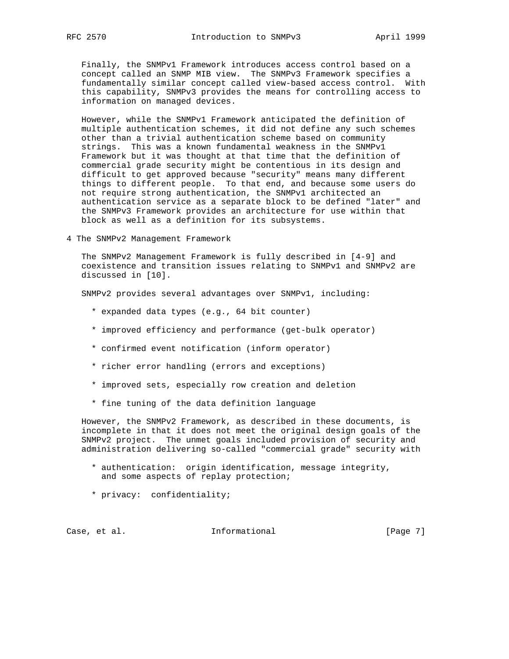Finally, the SNMPv1 Framework introduces access control based on a concept called an SNMP MIB view. The SNMPv3 Framework specifies a fundamentally similar concept called view-based access control. With this capability, SNMPv3 provides the means for controlling access to information on managed devices.

 However, while the SNMPv1 Framework anticipated the definition of multiple authentication schemes, it did not define any such schemes other than a trivial authentication scheme based on community strings. This was a known fundamental weakness in the SNMPv1 Framework but it was thought at that time that the definition of commercial grade security might be contentious in its design and difficult to get approved because "security" means many different things to different people. To that end, and because some users do not require strong authentication, the SNMPv1 architected an authentication service as a separate block to be defined "later" and the SNMPv3 Framework provides an architecture for use within that block as well as a definition for its subsystems.

4 The SNMPv2 Management Framework

 The SNMPv2 Management Framework is fully described in [4-9] and coexistence and transition issues relating to SNMPv1 and SNMPv2 are discussed in [10].

SNMPv2 provides several advantages over SNMPv1, including:

- \* expanded data types (e.g., 64 bit counter)
- \* improved efficiency and performance (get-bulk operator)
- \* confirmed event notification (inform operator)
- \* richer error handling (errors and exceptions)
- \* improved sets, especially row creation and deletion
- \* fine tuning of the data definition language

 However, the SNMPv2 Framework, as described in these documents, is incomplete in that it does not meet the original design goals of the SNMPv2 project. The unmet goals included provision of security and administration delivering so-called "commercial grade" security with

- \* authentication: origin identification, message integrity, and some aspects of replay protection;
- \* privacy: confidentiality;

Case, et al. 10 mm informational 100 mm informational [Page 7]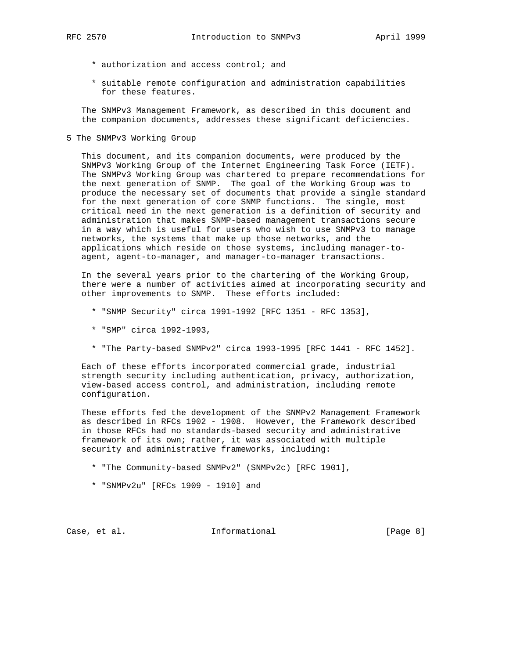- - \* authorization and access control; and
	- \* suitable remote configuration and administration capabilities for these features.

 The SNMPv3 Management Framework, as described in this document and the companion documents, addresses these significant deficiencies.

5 The SNMPv3 Working Group

 This document, and its companion documents, were produced by the SNMPv3 Working Group of the Internet Engineering Task Force (IETF). The SNMPv3 Working Group was chartered to prepare recommendations for the next generation of SNMP. The goal of the Working Group was to produce the necessary set of documents that provide a single standard for the next generation of core SNMP functions. The single, most critical need in the next generation is a definition of security and administration that makes SNMP-based management transactions secure in a way which is useful for users who wish to use SNMPv3 to manage networks, the systems that make up those networks, and the applications which reside on those systems, including manager-to agent, agent-to-manager, and manager-to-manager transactions.

 In the several years prior to the chartering of the Working Group, there were a number of activities aimed at incorporating security and other improvements to SNMP. These efforts included:

- \* "SNMP Security" circa 1991-1992 [RFC 1351 RFC 1353],
- \* "SMP" circa 1992-1993,
- \* "The Party-based SNMPv2" circa 1993-1995 [RFC 1441 RFC 1452].

 Each of these efforts incorporated commercial grade, industrial strength security including authentication, privacy, authorization, view-based access control, and administration, including remote configuration.

 These efforts fed the development of the SNMPv2 Management Framework as described in RFCs 1902 - 1908. However, the Framework described in those RFCs had no standards-based security and administrative framework of its own; rather, it was associated with multiple security and administrative frameworks, including:

- \* "The Community-based SNMPv2" (SNMPv2c) [RFC 1901],
- \* "SNMPv2u" [RFCs 1909 1910] and

Case, et al. 1nformational 1999 [Page 8]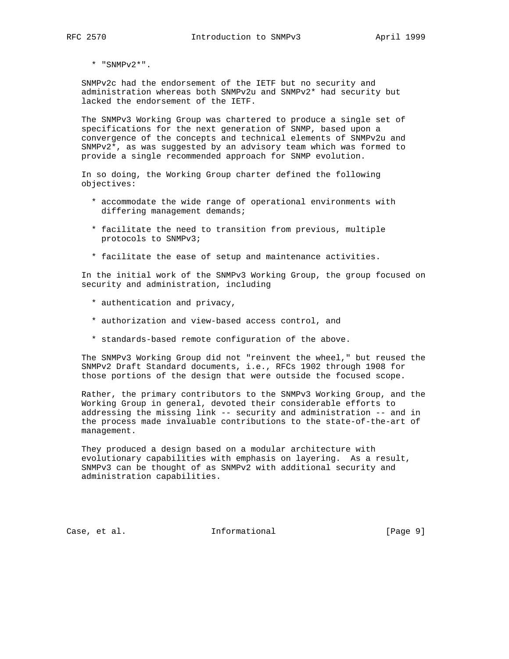\* "SNMPv2\*".

 SNMPv2c had the endorsement of the IETF but no security and administration whereas both SNMPv2u and SNMPv2\* had security but lacked the endorsement of the IETF.

 The SNMPv3 Working Group was chartered to produce a single set of specifications for the next generation of SNMP, based upon a convergence of the concepts and technical elements of SNMPv2u and SNMPv2\*, as was suggested by an advisory team which was formed to provide a single recommended approach for SNMP evolution.

 In so doing, the Working Group charter defined the following objectives:

- \* accommodate the wide range of operational environments with differing management demands;
- \* facilitate the need to transition from previous, multiple protocols to SNMPv3;
- \* facilitate the ease of setup and maintenance activities.

 In the initial work of the SNMPv3 Working Group, the group focused on security and administration, including

- \* authentication and privacy,
- \* authorization and view-based access control, and
- \* standards-based remote configuration of the above.

 The SNMPv3 Working Group did not "reinvent the wheel," but reused the SNMPv2 Draft Standard documents, i.e., RFCs 1902 through 1908 for those portions of the design that were outside the focused scope.

 Rather, the primary contributors to the SNMPv3 Working Group, and the Working Group in general, devoted their considerable efforts to addressing the missing link -- security and administration -- and in the process made invaluable contributions to the state-of-the-art of management.

 They produced a design based on a modular architecture with evolutionary capabilities with emphasis on layering. As a result, SNMPv3 can be thought of as SNMPv2 with additional security and administration capabilities.

Case, et al. **Informational** [Page 9]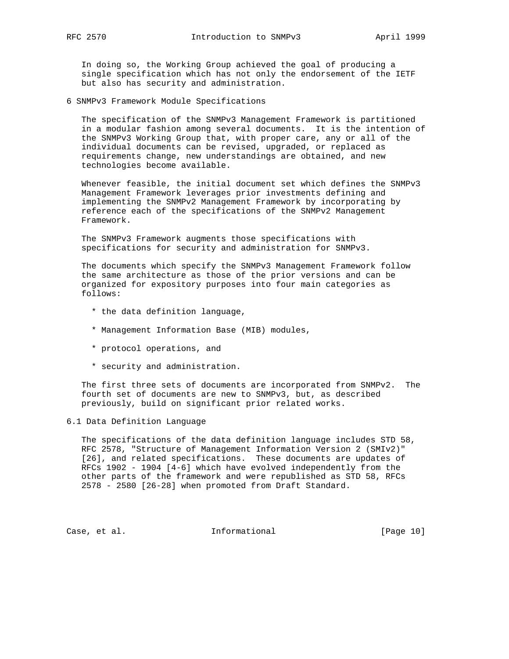In doing so, the Working Group achieved the goal of producing a single specification which has not only the endorsement of the IETF but also has security and administration.

6 SNMPv3 Framework Module Specifications

 The specification of the SNMPv3 Management Framework is partitioned in a modular fashion among several documents. It is the intention of the SNMPv3 Working Group that, with proper care, any or all of the individual documents can be revised, upgraded, or replaced as requirements change, new understandings are obtained, and new technologies become available.

 Whenever feasible, the initial document set which defines the SNMPv3 Management Framework leverages prior investments defining and implementing the SNMPv2 Management Framework by incorporating by reference each of the specifications of the SNMPv2 Management Framework.

 The SNMPv3 Framework augments those specifications with specifications for security and administration for SNMPv3.

 The documents which specify the SNMPv3 Management Framework follow the same architecture as those of the prior versions and can be organized for expository purposes into four main categories as follows:

- \* the data definition language,
- \* Management Information Base (MIB) modules,
- \* protocol operations, and
- \* security and administration.

 The first three sets of documents are incorporated from SNMPv2. The fourth set of documents are new to SNMPv3, but, as described previously, build on significant prior related works.

### 6.1 Data Definition Language

 The specifications of the data definition language includes STD 58, RFC 2578, "Structure of Management Information Version 2 (SMIv2)" [26], and related specifications. These documents are updates of RFCs 1902 - 1904 [4-6] which have evolved independently from the other parts of the framework and were republished as STD 58, RFCs 2578 - 2580 [26-28] when promoted from Draft Standard.

Case, et al. 10 mm informational [Page 10]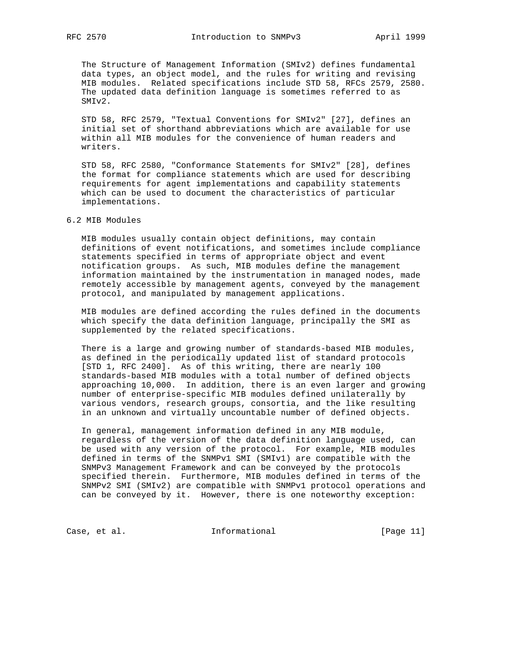The Structure of Management Information (SMIv2) defines fundamental data types, an object model, and the rules for writing and revising MIB modules. Related specifications include STD 58, RFCs 2579, 2580. The updated data definition language is sometimes referred to as SMIv2.

 STD 58, RFC 2579, "Textual Conventions for SMIv2" [27], defines an initial set of shorthand abbreviations which are available for use within all MIB modules for the convenience of human readers and writers.

 STD 58, RFC 2580, "Conformance Statements for SMIv2" [28], defines the format for compliance statements which are used for describing requirements for agent implementations and capability statements which can be used to document the characteristics of particular implementations.

## 6.2 MIB Modules

 MIB modules usually contain object definitions, may contain definitions of event notifications, and sometimes include compliance statements specified in terms of appropriate object and event notification groups. As such, MIB modules define the management information maintained by the instrumentation in managed nodes, made remotely accessible by management agents, conveyed by the management protocol, and manipulated by management applications.

 MIB modules are defined according the rules defined in the documents which specify the data definition language, principally the SMI as supplemented by the related specifications.

 There is a large and growing number of standards-based MIB modules, as defined in the periodically updated list of standard protocols [STD 1, RFC 2400]. As of this writing, there are nearly 100 standards-based MIB modules with a total number of defined objects approaching 10,000. In addition, there is an even larger and growing number of enterprise-specific MIB modules defined unilaterally by various vendors, research groups, consortia, and the like resulting in an unknown and virtually uncountable number of defined objects.

 In general, management information defined in any MIB module, regardless of the version of the data definition language used, can be used with any version of the protocol. For example, MIB modules defined in terms of the SNMPv1 SMI (SMIv1) are compatible with the SNMPv3 Management Framework and can be conveyed by the protocols specified therein. Furthermore, MIB modules defined in terms of the SNMPv2 SMI (SMIv2) are compatible with SNMPv1 protocol operations and can be conveyed by it. However, there is one noteworthy exception:

Case, et al. 10 mm informational 11 mm informational [Page 11]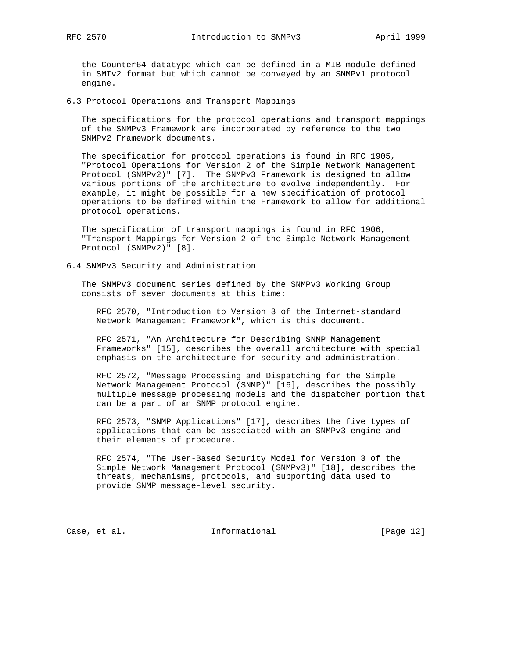the Counter64 datatype which can be defined in a MIB module defined in SMIv2 format but which cannot be conveyed by an SNMPv1 protocol engine.

6.3 Protocol Operations and Transport Mappings

 The specifications for the protocol operations and transport mappings of the SNMPv3 Framework are incorporated by reference to the two SNMPv2 Framework documents.

 The specification for protocol operations is found in RFC 1905, "Protocol Operations for Version 2 of the Simple Network Management Protocol (SNMPv2)" [7]. The SNMPv3 Framework is designed to allow various portions of the architecture to evolve independently. For example, it might be possible for a new specification of protocol operations to be defined within the Framework to allow for additional protocol operations.

 The specification of transport mappings is found in RFC 1906, "Transport Mappings for Version 2 of the Simple Network Management Protocol (SNMPv2)" [8].

6.4 SNMPv3 Security and Administration

 The SNMPv3 document series defined by the SNMPv3 Working Group consists of seven documents at this time:

 RFC 2570, "Introduction to Version 3 of the Internet-standard Network Management Framework", which is this document.

 RFC 2571, "An Architecture for Describing SNMP Management Frameworks" [15], describes the overall architecture with special emphasis on the architecture for security and administration.

 RFC 2572, "Message Processing and Dispatching for the Simple Network Management Protocol (SNMP)" [16], describes the possibly multiple message processing models and the dispatcher portion that can be a part of an SNMP protocol engine.

 RFC 2573, "SNMP Applications" [17], describes the five types of applications that can be associated with an SNMPv3 engine and their elements of procedure.

 RFC 2574, "The User-Based Security Model for Version 3 of the Simple Network Management Protocol (SNMPv3)" [18], describes the threats, mechanisms, protocols, and supporting data used to provide SNMP message-level security.

Case, et al. 1nformational [Page 12]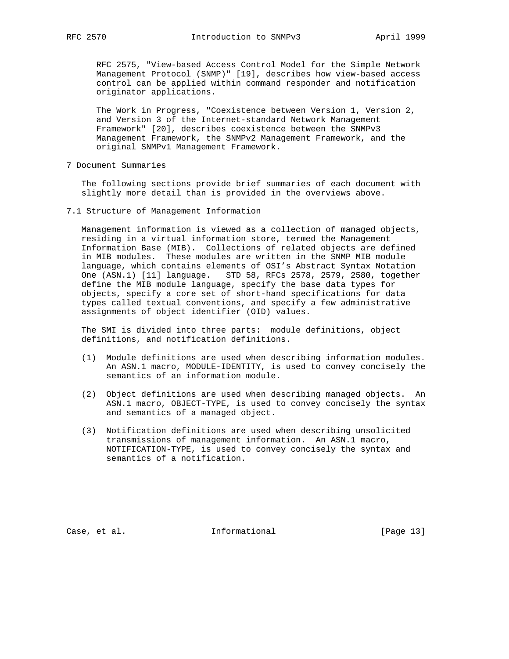RFC 2575, "View-based Access Control Model for the Simple Network Management Protocol (SNMP)" [19], describes how view-based access control can be applied within command responder and notification originator applications.

 The Work in Progress, "Coexistence between Version 1, Version 2, and Version 3 of the Internet-standard Network Management Framework" [20], describes coexistence between the SNMPv3 Management Framework, the SNMPv2 Management Framework, and the original SNMPv1 Management Framework.

7 Document Summaries

 The following sections provide brief summaries of each document with slightly more detail than is provided in the overviews above.

7.1 Structure of Management Information

 Management information is viewed as a collection of managed objects, residing in a virtual information store, termed the Management Information Base (MIB). Collections of related objects are defined in MIB modules. These modules are written in the SNMP MIB module language, which contains elements of OSI's Abstract Syntax Notation One (ASN.1) [11] language. STD 58, RFCs 2578, 2579, 2580, together define the MIB module language, specify the base data types for objects, specify a core set of short-hand specifications for data types called textual conventions, and specify a few administrative assignments of object identifier (OID) values.

 The SMI is divided into three parts: module definitions, object definitions, and notification definitions.

- (1) Module definitions are used when describing information modules. An ASN.1 macro, MODULE-IDENTITY, is used to convey concisely the semantics of an information module.
- (2) Object definitions are used when describing managed objects. An ASN.1 macro, OBJECT-TYPE, is used to convey concisely the syntax and semantics of a managed object.
- (3) Notification definitions are used when describing unsolicited transmissions of management information. An ASN.1 macro, NOTIFICATION-TYPE, is used to convey concisely the syntax and semantics of a notification.

Case, et al. 10 mm informational [Page 13]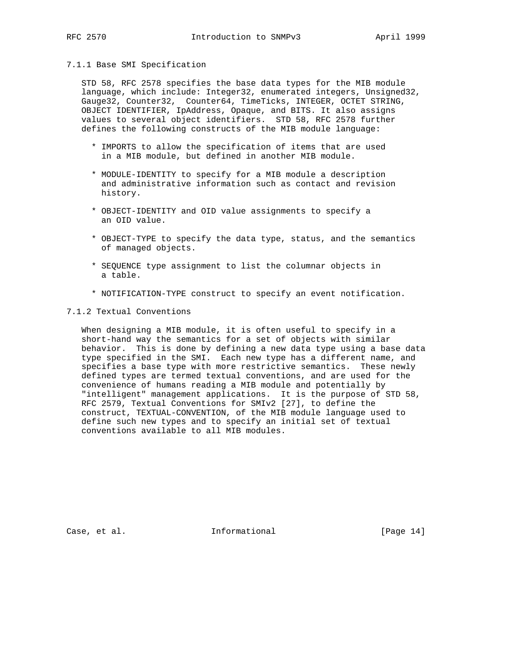## 7.1.1 Base SMI Specification

 STD 58, RFC 2578 specifies the base data types for the MIB module language, which include: Integer32, enumerated integers, Unsigned32, Gauge32, Counter32, Counter64, TimeTicks, INTEGER, OCTET STRING, OBJECT IDENTIFIER, IpAddress, Opaque, and BITS. It also assigns values to several object identifiers. STD 58, RFC 2578 further defines the following constructs of the MIB module language:

- \* IMPORTS to allow the specification of items that are used in a MIB module, but defined in another MIB module.
- \* MODULE-IDENTITY to specify for a MIB module a description and administrative information such as contact and revision history.
- \* OBJECT-IDENTITY and OID value assignments to specify a an OID value.
- \* OBJECT-TYPE to specify the data type, status, and the semantics of managed objects.
- \* SEQUENCE type assignment to list the columnar objects in a table.
- \* NOTIFICATION-TYPE construct to specify an event notification.

### 7.1.2 Textual Conventions

 When designing a MIB module, it is often useful to specify in a short-hand way the semantics for a set of objects with similar behavior. This is done by defining a new data type using a base data type specified in the SMI. Each new type has a different name, and specifies a base type with more restrictive semantics. These newly defined types are termed textual conventions, and are used for the convenience of humans reading a MIB module and potentially by "intelligent" management applications. It is the purpose of STD 58, RFC 2579, Textual Conventions for SMIv2 [27], to define the construct, TEXTUAL-CONVENTION, of the MIB module language used to define such new types and to specify an initial set of textual conventions available to all MIB modules.

Case, et al. 10 Informational [Page 14]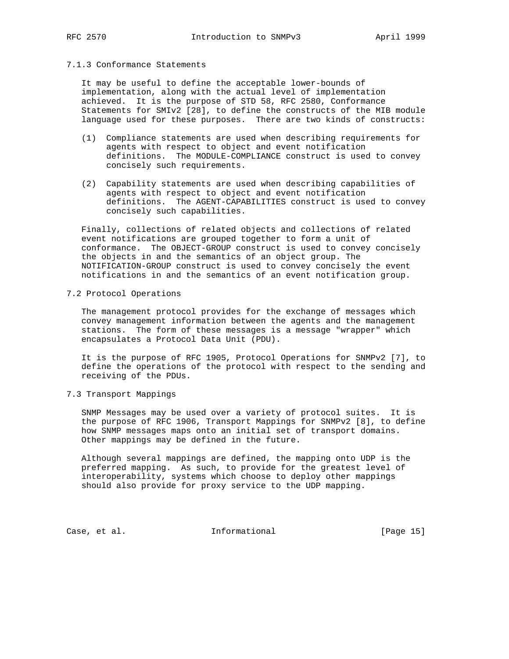### 7.1.3 Conformance Statements

 It may be useful to define the acceptable lower-bounds of implementation, along with the actual level of implementation achieved. It is the purpose of STD 58, RFC 2580, Conformance Statements for SMIv2 [28], to define the constructs of the MIB module language used for these purposes. There are two kinds of constructs:

- (1) Compliance statements are used when describing requirements for agents with respect to object and event notification definitions. The MODULE-COMPLIANCE construct is used to convey concisely such requirements.
- (2) Capability statements are used when describing capabilities of agents with respect to object and event notification definitions. The AGENT-CAPABILITIES construct is used to convey concisely such capabilities.

 Finally, collections of related objects and collections of related event notifications are grouped together to form a unit of conformance. The OBJECT-GROUP construct is used to convey concisely the objects in and the semantics of an object group. The NOTIFICATION-GROUP construct is used to convey concisely the event notifications in and the semantics of an event notification group.

7.2 Protocol Operations

 The management protocol provides for the exchange of messages which convey management information between the agents and the management stations. The form of these messages is a message "wrapper" which encapsulates a Protocol Data Unit (PDU).

 It is the purpose of RFC 1905, Protocol Operations for SNMPv2 [7], to define the operations of the protocol with respect to the sending and receiving of the PDUs.

7.3 Transport Mappings

 SNMP Messages may be used over a variety of protocol suites. It is the purpose of RFC 1906, Transport Mappings for SNMPv2 [8], to define how SNMP messages maps onto an initial set of transport domains. Other mappings may be defined in the future.

 Although several mappings are defined, the mapping onto UDP is the preferred mapping. As such, to provide for the greatest level of interoperability, systems which choose to deploy other mappings should also provide for proxy service to the UDP mapping.

Case, et al. 10 mm informational [Page 15]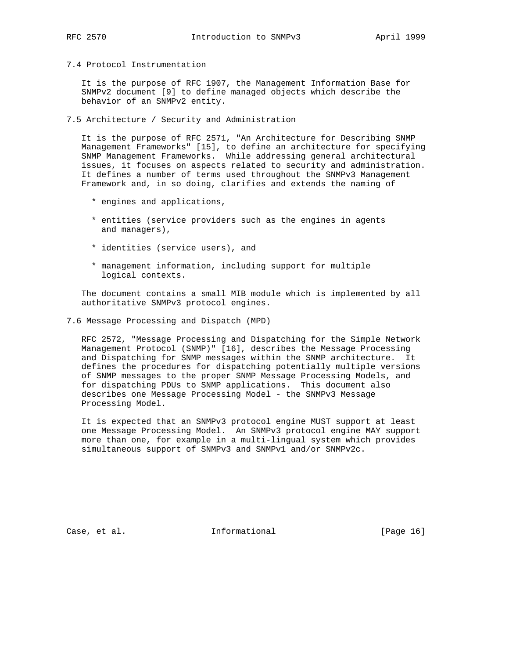7.4 Protocol Instrumentation

 It is the purpose of RFC 1907, the Management Information Base for SNMPv2 document [9] to define managed objects which describe the behavior of an SNMPv2 entity.

7.5 Architecture / Security and Administration

 It is the purpose of RFC 2571, "An Architecture for Describing SNMP Management Frameworks" [15], to define an architecture for specifying SNMP Management Frameworks. While addressing general architectural issues, it focuses on aspects related to security and administration. It defines a number of terms used throughout the SNMPv3 Management Framework and, in so doing, clarifies and extends the naming of

- \* engines and applications,
- \* entities (service providers such as the engines in agents and managers),
- \* identities (service users), and
- \* management information, including support for multiple logical contexts.

 The document contains a small MIB module which is implemented by all authoritative SNMPv3 protocol engines.

7.6 Message Processing and Dispatch (MPD)

 RFC 2572, "Message Processing and Dispatching for the Simple Network Management Protocol (SNMP)" [16], describes the Message Processing and Dispatching for SNMP messages within the SNMP architecture. It defines the procedures for dispatching potentially multiple versions of SNMP messages to the proper SNMP Message Processing Models, and for dispatching PDUs to SNMP applications. This document also describes one Message Processing Model - the SNMPv3 Message Processing Model.

 It is expected that an SNMPv3 protocol engine MUST support at least one Message Processing Model. An SNMPv3 protocol engine MAY support more than one, for example in a multi-lingual system which provides simultaneous support of SNMPv3 and SNMPv1 and/or SNMPv2c.

Case, et al. 10 mm informational [Page 16]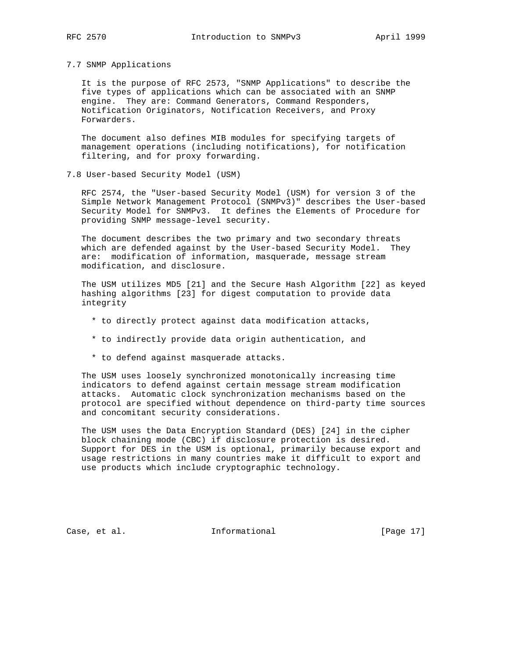7.7 SNMP Applications

 It is the purpose of RFC 2573, "SNMP Applications" to describe the five types of applications which can be associated with an SNMP engine. They are: Command Generators, Command Responders, Notification Originators, Notification Receivers, and Proxy Forwarders.

 The document also defines MIB modules for specifying targets of management operations (including notifications), for notification filtering, and for proxy forwarding.

7.8 User-based Security Model (USM)

 RFC 2574, the "User-based Security Model (USM) for version 3 of the Simple Network Management Protocol (SNMPv3)" describes the User-based Security Model for SNMPv3. It defines the Elements of Procedure for providing SNMP message-level security.

 The document describes the two primary and two secondary threats which are defended against by the User-based Security Model. They are: modification of information, masquerade, message stream modification, and disclosure.

 The USM utilizes MD5 [21] and the Secure Hash Algorithm [22] as keyed hashing algorithms [23] for digest computation to provide data integrity

- \* to directly protect against data modification attacks,
- \* to indirectly provide data origin authentication, and
- \* to defend against masquerade attacks.

 The USM uses loosely synchronized monotonically increasing time indicators to defend against certain message stream modification attacks. Automatic clock synchronization mechanisms based on the protocol are specified without dependence on third-party time sources and concomitant security considerations.

 The USM uses the Data Encryption Standard (DES) [24] in the cipher block chaining mode (CBC) if disclosure protection is desired. Support for DES in the USM is optional, primarily because export and usage restrictions in many countries make it difficult to export and use products which include cryptographic technology.

Case, et al. 10 mm informational [Page 17]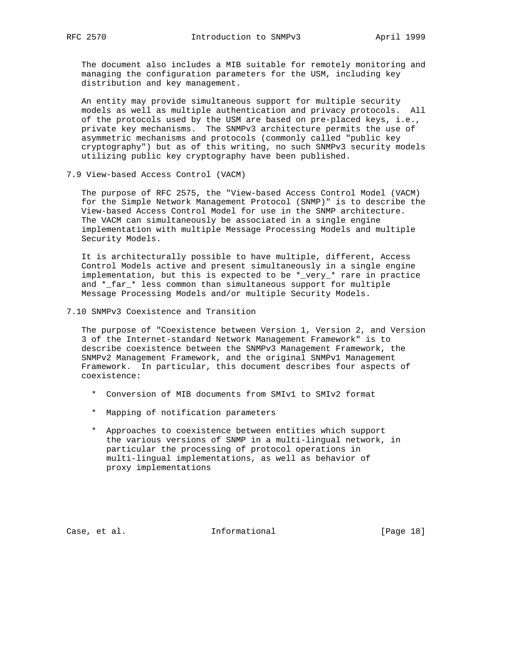The document also includes a MIB suitable for remotely monitoring and managing the configuration parameters for the USM, including key distribution and key management.

 An entity may provide simultaneous support for multiple security models as well as multiple authentication and privacy protocols. All of the protocols used by the USM are based on pre-placed keys, i.e., private key mechanisms. The SNMPv3 architecture permits the use of asymmetric mechanisms and protocols (commonly called "public key cryptography") but as of this writing, no such SNMPv3 security models utilizing public key cryptography have been published.

7.9 View-based Access Control (VACM)

 The purpose of RFC 2575, the "View-based Access Control Model (VACM) for the Simple Network Management Protocol (SNMP)" is to describe the View-based Access Control Model for use in the SNMP architecture. The VACM can simultaneously be associated in a single engine implementation with multiple Message Processing Models and multiple Security Models.

 It is architecturally possible to have multiple, different, Access Control Models active and present simultaneously in a single engine implementation, but this is expected to be \*\_very\_\* rare in practice and \*\_far\_\* less common than simultaneous support for multiple Message Processing Models and/or multiple Security Models.

7.10 SNMPv3 Coexistence and Transition

 The purpose of "Coexistence between Version 1, Version 2, and Version 3 of the Internet-standard Network Management Framework" is to describe coexistence between the SNMPv3 Management Framework, the SNMPv2 Management Framework, and the original SNMPv1 Management Framework. In particular, this document describes four aspects of coexistence:

- \* Conversion of MIB documents from SMIv1 to SMIv2 format
- \* Mapping of notification parameters
- \* Approaches to coexistence between entities which support the various versions of SNMP in a multi-lingual network, in particular the processing of protocol operations in multi-lingual implementations, as well as behavior of proxy implementations

Case, et al. 10 1nformational [Page 18]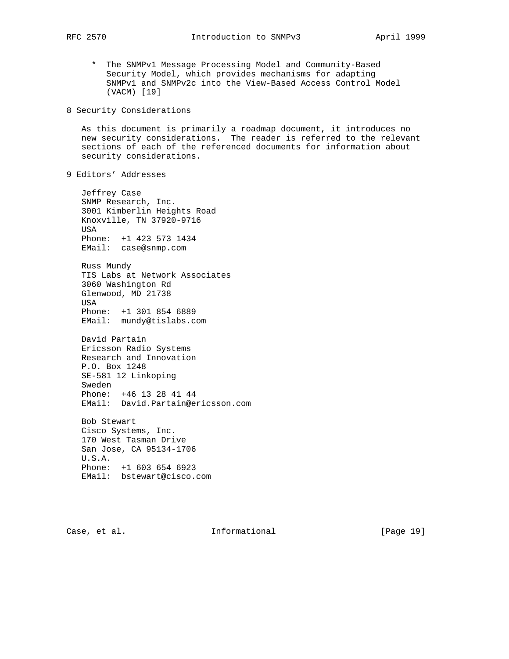- \* The SNMPv1 Message Processing Model and Community-Based Security Model, which provides mechanisms for adapting SNMPv1 and SNMPv2c into the View-Based Access Control Model (VACM) [19]
- 8 Security Considerations

 As this document is primarily a roadmap document, it introduces no new security considerations. The reader is referred to the relevant sections of each of the referenced documents for information about security considerations.

9 Editors' Addresses

 Jeffrey Case SNMP Research, Inc. 3001 Kimberlin Heights Road Knoxville, TN 37920-9716 USA Phone: +1 423 573 1434 EMail: case@snmp.com

 Russ Mundy TIS Labs at Network Associates 3060 Washington Rd Glenwood, MD 21738 USA Phone: +1 301 854 6889 EMail: mundy@tislabs.com

 David Partain Ericsson Radio Systems Research and Innovation P.O. Box 1248 SE-581 12 Linkoping Sweden Phone: +46 13 28 41 44 EMail: David.Partain@ericsson.com

 Bob Stewart Cisco Systems, Inc. 170 West Tasman Drive San Jose, CA 95134-1706 U.S.A. Phone: +1 603 654 6923 EMail: bstewart@cisco.com

Case, et al. **Informational** [Page 19]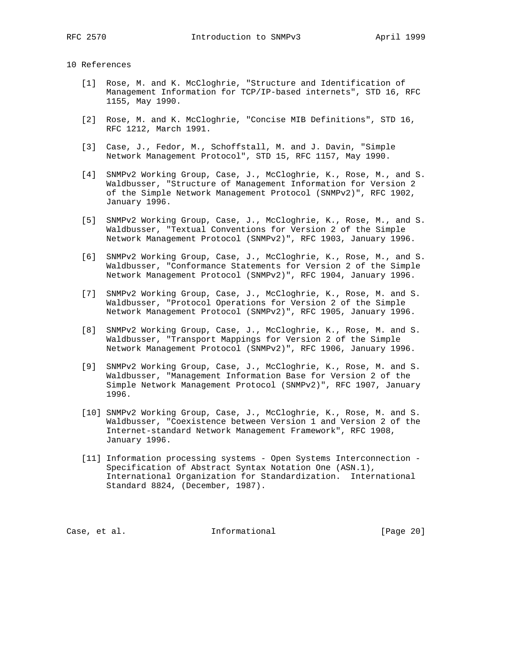# 10 References

- [1] Rose, M. and K. McCloghrie, "Structure and Identification of Management Information for TCP/IP-based internets", STD 16, RFC 1155, May 1990.
- [2] Rose, M. and K. McCloghrie, "Concise MIB Definitions", STD 16, RFC 1212, March 1991.
- [3] Case, J., Fedor, M., Schoffstall, M. and J. Davin, "Simple Network Management Protocol", STD 15, RFC 1157, May 1990.
- [4] SNMPv2 Working Group, Case, J., McCloghrie, K., Rose, M., and S. Waldbusser, "Structure of Management Information for Version 2 of the Simple Network Management Protocol (SNMPv2)", RFC 1902, January 1996.
- [5] SNMPv2 Working Group, Case, J., McCloghrie, K., Rose, M., and S. Waldbusser, "Textual Conventions for Version 2 of the Simple Network Management Protocol (SNMPv2)", RFC 1903, January 1996.
- [6] SNMPv2 Working Group, Case, J., McCloghrie, K., Rose, M., and S. Waldbusser, "Conformance Statements for Version 2 of the Simple Network Management Protocol (SNMPv2)", RFC 1904, January 1996.
- [7] SNMPv2 Working Group, Case, J., McCloghrie, K., Rose, M. and S. Waldbusser, "Protocol Operations for Version 2 of the Simple Network Management Protocol (SNMPv2)", RFC 1905, January 1996.
- [8] SNMPv2 Working Group, Case, J., McCloghrie, K., Rose, M. and S. Waldbusser, "Transport Mappings for Version 2 of the Simple Network Management Protocol (SNMPv2)", RFC 1906, January 1996.
- [9] SNMPv2 Working Group, Case, J., McCloghrie, K., Rose, M. and S. Waldbusser, "Management Information Base for Version 2 of the Simple Network Management Protocol (SNMPv2)", RFC 1907, January 1996.
- [10] SNMPv2 Working Group, Case, J., McCloghrie, K., Rose, M. and S. Waldbusser, "Coexistence between Version 1 and Version 2 of the Internet-standard Network Management Framework", RFC 1908, January 1996.
- [11] Information processing systems Open Systems Interconnection Specification of Abstract Syntax Notation One (ASN.1), International Organization for Standardization. International Standard 8824, (December, 1987).

Case, et al. 1nformational [Page 20]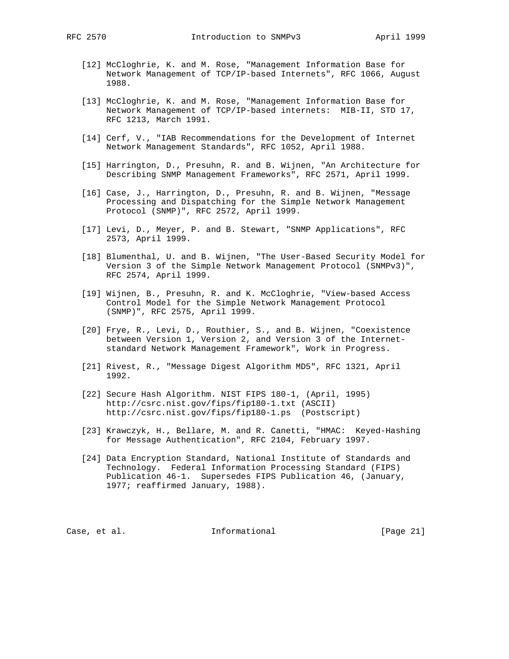- - [12] McCloghrie, K. and M. Rose, "Management Information Base for Network Management of TCP/IP-based Internets", RFC 1066, August 1988.
	- [13] McCloghrie, K. and M. Rose, "Management Information Base for Network Management of TCP/IP-based internets: MIB-II, STD 17, RFC 1213, March 1991.
	- [14] Cerf, V., "IAB Recommendations for the Development of Internet Network Management Standards", RFC 1052, April 1988.
	- [15] Harrington, D., Presuhn, R. and B. Wijnen, "An Architecture for Describing SNMP Management Frameworks", RFC 2571, April 1999.
	- [16] Case, J., Harrington, D., Presuhn, R. and B. Wijnen, "Message Processing and Dispatching for the Simple Network Management Protocol (SNMP)", RFC 2572, April 1999.
	- [17] Levi, D., Meyer, P. and B. Stewart, "SNMP Applications", RFC 2573, April 1999.
	- [18] Blumenthal, U. and B. Wijnen, "The User-Based Security Model for Version 3 of the Simple Network Management Protocol (SNMPv3)", RFC 2574, April 1999.
	- [19] Wijnen, B., Presuhn, R. and K. McCloghrie, "View-based Access Control Model for the Simple Network Management Protocol (SNMP)", RFC 2575, April 1999.
	- [20] Frye, R., Levi, D., Routhier, S., and B. Wijnen, "Coexistence between Version 1, Version 2, and Version 3 of the Internet standard Network Management Framework", Work in Progress.
	- [21] Rivest, R., "Message Digest Algorithm MD5", RFC 1321, April 1992.
	- [22] Secure Hash Algorithm. NIST FIPS 180-1, (April, 1995) http://csrc.nist.gov/fips/fip180-1.txt (ASCII) http://csrc.nist.gov/fips/fip180-1.ps (Postscript)
	- [23] Krawczyk, H., Bellare, M. and R. Canetti, "HMAC: Keyed-Hashing for Message Authentication", RFC 2104, February 1997.
	- [24] Data Encryption Standard, National Institute of Standards and Technology. Federal Information Processing Standard (FIPS) Publication 46-1. Supersedes FIPS Publication 46, (January, 1977; reaffirmed January, 1988).

Case, et al. 1nformational [Page 21]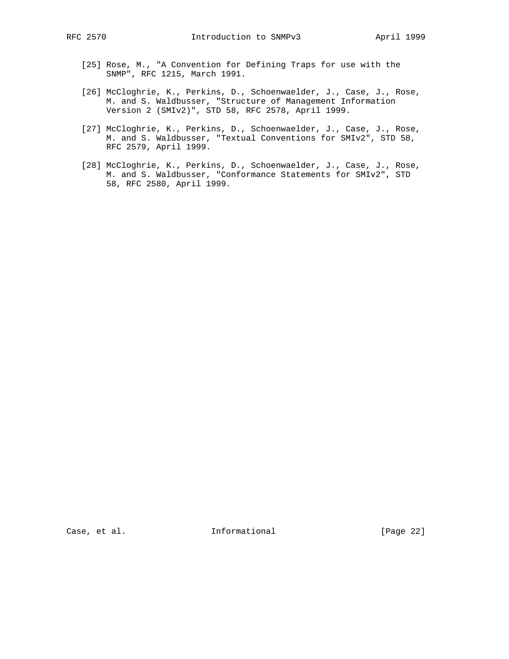- [25] Rose, M., "A Convention for Defining Traps for use with the SNMP", RFC 1215, March 1991.
- [26] McCloghrie, K., Perkins, D., Schoenwaelder, J., Case, J., Rose, M. and S. Waldbusser, "Structure of Management Information Version 2 (SMIv2)", STD 58, RFC 2578, April 1999.
- [27] McCloghrie, K., Perkins, D., Schoenwaelder, J., Case, J., Rose, M. and S. Waldbusser, "Textual Conventions for SMIv2", STD 58, RFC 2579, April 1999.
- [28] McCloghrie, K., Perkins, D., Schoenwaelder, J., Case, J., Rose, M. and S. Waldbusser, "Conformance Statements for SMIv2", STD 58, RFC 2580, April 1999.

Case, et al. 1nformational [Page 22]